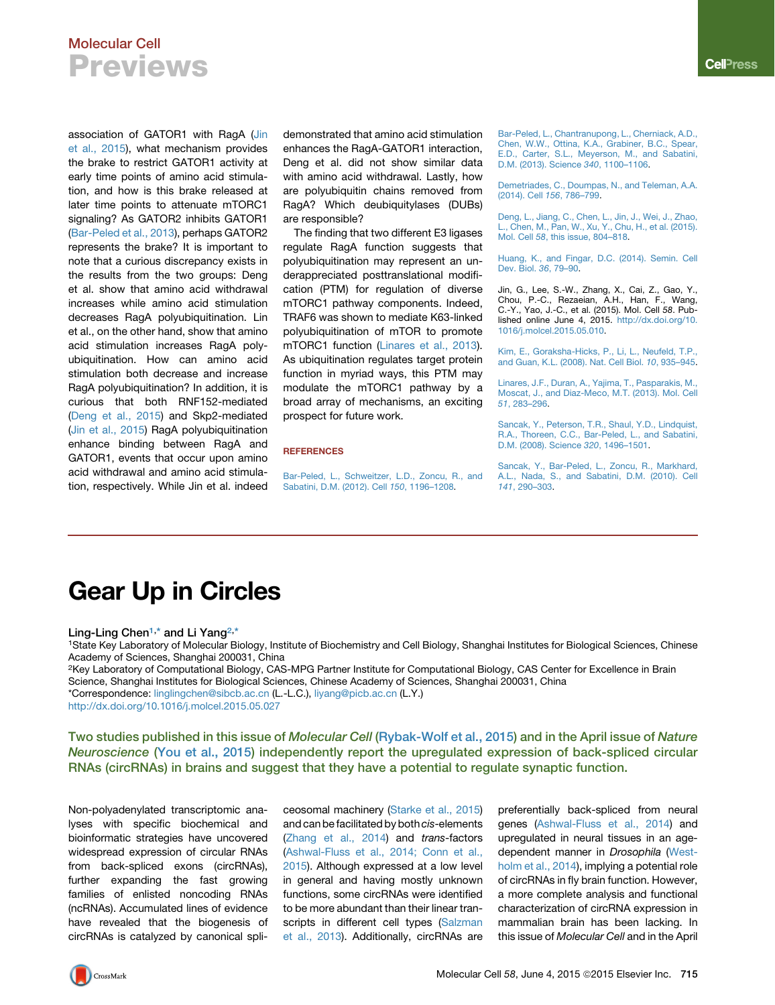## Molecular Cell Previews

association of GATOR1 with RagA ([Jin](#page-0-0) [et al., 2015\)](#page-0-0), what mechanism provides the brake to restrict GATOR1 activity at early time points of amino acid stimulation, and how is this brake released at later time points to attenuate mTORC1 signaling? As GATOR2 inhibits GATOR1 [\(Bar-Peled et al., 2013\)](#page-0-1), perhaps GATOR2 represents the brake? It is important to note that a curious discrepancy exists in the results from the two groups: Deng et al. show that amino acid withdrawal increases while amino acid stimulation decreases RagA polyubiquitination. Lin et al., on the other hand, show that amino acid stimulation increases RagA polyubiquitination. How can amino acid stimulation both decrease and increase RagA polyubiquitination? In addition, it is curious that both RNF152-mediated [\(Deng et al., 2015](#page-0-2)) and Skp2-mediated [\(Jin et al., 2015\)](#page-0-0) RagA polyubiquitination enhance binding between RagA and GATOR1, events that occur upon amino acid withdrawal and amino acid stimulation, respectively. While Jin et al. indeed

demonstrated that amino acid stimulation enhances the RagA-GATOR1 interaction, Deng et al. did not show similar data with amino acid withdrawal. Lastly, how are polyubiquitin chains removed from RagA? Which deubiquitylases (DUBs) are responsible?

The finding that two different E3 ligases regulate RagA function suggests that polyubiquitination may represent an underappreciated posttranslational modification (PTM) for regulation of diverse mTORC1 pathway components. Indeed, TRAF6 was shown to mediate K63-linked polyubiquitination of mTOR to promote mTORC1 function ([Linares et al., 2013](#page-0-3)). As ubiquitination regulates target protein function in myriad ways, this PTM may modulate the mTORC1 pathway by a broad array of mechanisms, an exciting prospect for future work.

### **REFERENCES**

[Bar-Peled, L., Schweitzer, L.D., Zoncu, R., and](http://refhub.elsevier.com/S1097-2765(15)00394-9/sref1) [Sabatini, D.M. \(2012\). Cell](http://refhub.elsevier.com/S1097-2765(15)00394-9/sref1) *150*, 1196–1208.

<span id="page-0-1"></span>[Bar-Peled, L., Chantranupong, L., Cherniack, A.D.,](http://refhub.elsevier.com/S1097-2765(15)00394-9/sref2) [Chen, W.W., Ottina, K.A., Grabiner, B.C., Spear,](http://refhub.elsevier.com/S1097-2765(15)00394-9/sref2) [E.D., Carter, S.L., Meyerson, M., and Sabatini,](http://refhub.elsevier.com/S1097-2765(15)00394-9/sref2) [D.M. \(2013\). Science](http://refhub.elsevier.com/S1097-2765(15)00394-9/sref2) *340*, 1100–1106.

[Demetriades, C., Doumpas, N., and Teleman, A.A.](http://refhub.elsevier.com/S1097-2765(15)00394-9/sref3) [\(2014\). Cell](http://refhub.elsevier.com/S1097-2765(15)00394-9/sref3) *156*, 786–799.

<span id="page-0-2"></span>[Deng, L., Jiang, C., Chen, L., Jin, J., Wei, J., Zhao,](http://refhub.elsevier.com/S1097-2765(15)00394-9/sref4) [L., Chen, M., Pan, W., Xu, Y., Chu, H., et al. \(2015\).](http://refhub.elsevier.com/S1097-2765(15)00394-9/sref4) Mol. Cell *58*[, this issue, 804–818.](http://refhub.elsevier.com/S1097-2765(15)00394-9/sref4)

[Huang, K., and Fingar, D.C. \(2014\). Semin. Cell](http://refhub.elsevier.com/S1097-2765(15)00394-9/sref5) [Dev. Biol.](http://refhub.elsevier.com/S1097-2765(15)00394-9/sref5) *36*, 79–90.

<span id="page-0-0"></span>Jin, G., Lee, S.-W., Zhang, X., Cai, Z., Gao, Y., Chou, P.-C., Rezaeian, A.H., Han, F., Wang, C.-Y., Yao, J.-C., et al. (2015). Mol. Cell *58*. Published online June 4, 2015. [http://dx.doi.org/10.](http://dx.doi.org/10.1016/j.molcel.2015.05.010) [1016/j.molcel.2015.05.010](http://dx.doi.org/10.1016/j.molcel.2015.05.010).

[Kim, E., Goraksha-Hicks, P., Li, L., Neufeld, T.P.,](http://refhub.elsevier.com/S1097-2765(15)00394-9/sref7) [and Guan, K.L. \(2008\). Nat. Cell Biol.](http://refhub.elsevier.com/S1097-2765(15)00394-9/sref7) *10*, 935–945.

<span id="page-0-3"></span>[Linares, J.F., Duran, A., Yajima, T., Pasparakis, M.,](http://refhub.elsevier.com/S1097-2765(15)00394-9/sref8) [Moscat, J., and Diaz-Meco, M.T. \(2013\). Mol. Cell](http://refhub.elsevier.com/S1097-2765(15)00394-9/sref8) *51*[, 283–296](http://refhub.elsevier.com/S1097-2765(15)00394-9/sref8).

[Sancak, Y., Peterson, T.R., Shaul, Y.D., Lindquist,](http://refhub.elsevier.com/S1097-2765(15)00394-9/sref9) [R.A., Thoreen, C.C., Bar-Peled, L., and Sabatini,](http://refhub.elsevier.com/S1097-2765(15)00394-9/sref9) [D.M. \(2008\). Science](http://refhub.elsevier.com/S1097-2765(15)00394-9/sref9) *320*, 1496–1501.

[Sancak, Y., Bar-Peled, L., Zoncu, R., Markhard,](http://refhub.elsevier.com/S1097-2765(15)00394-9/sref10) [A.L., Nada, S., and Sabatini, D.M. \(2010\). Cell](http://refhub.elsevier.com/S1097-2765(15)00394-9/sref10) *141*[, 290–303.](http://refhub.elsevier.com/S1097-2765(15)00394-9/sref10)

## Gear Up in Circles

Ling-Ling Chen<sup>[1,](#page-0-4)\*</sup> and Li Yang<sup>[2,](#page-0-5)\*</sup>

<span id="page-0-4"></span>1State Key Laboratory of Molecular Biology, Institute of Biochemistry and Cell Biology, Shanghai Institutes for Biological Sciences, Chinese Academy of Sciences, Shanghai 200031, China

<span id="page-0-5"></span>2Key Laboratory of Computational Biology, CAS-MPG Partner Institute for Computational Biology, CAS Center for Excellence in Brain Science, Shanghai Institutes for Biological Sciences, Chinese Academy of Sciences, Shanghai 200031, China \*Correspondence: [linglingchen@sibcb.ac.cn](mailto:linglingchen@sibcb.ac.cn) (L.-L.C.), [liyang@picb.ac.cn](mailto:liyang@picb.ac.cn) (L.Y.)

<http://dx.doi.org/10.1016/j.molcel.2015.05.027>

Two studies published in this issue of Molecular Cell ([Rybak-Wolf et al., 2015\)](#page-2-0) and in the April issue of Nature Neuroscience ([You et al., 2015\)](#page-2-1) independently report the upregulated expression of back-spliced circular RNAs (circRNAs) in brains and suggest that they have a potential to regulate synaptic function.

Non-polyadenylated transcriptomic analyses with specific biochemical and bioinformatic strategies have uncovered widespread expression of circular RNAs from back-spliced exons (circRNAs), further expanding the fast growing families of enlisted noncoding RNAs (ncRNAs). Accumulated lines of evidence have revealed that the biogenesis of circRNAs is catalyzed by canonical spliceosomal machinery ([Starke et al., 2015\)](#page-2-2) and can befacilitated by both*cis*-elements ([Zhang et al., 2014](#page-2-3)) and *trans*-factors ([Ashwal-Fluss et al., 2014; Conn et al.,](#page-2-4) [2015](#page-2-4)). Although expressed at a low level in general and having mostly unknown functions, some circRNAs were identified to be more abundant than their linear transcripts in different cell types ([Salzman](#page-2-5) [et al., 2013\)](#page-2-5). Additionally, circRNAs are

preferentially back-spliced from neural genes [\(Ashwal-Fluss et al., 2014](#page-2-4)) and upregulated in neural tissues in an agedependent manner in *Drosophila* ([West](#page-2-6)[holm et al., 2014\)](#page-2-6), implying a potential role of circRNAs in fly brain function. However, a more complete analysis and functional characterization of circRNA expression in mammalian brain has been lacking. In this issue of *Molecular Cell* and in the April **Cell**Press

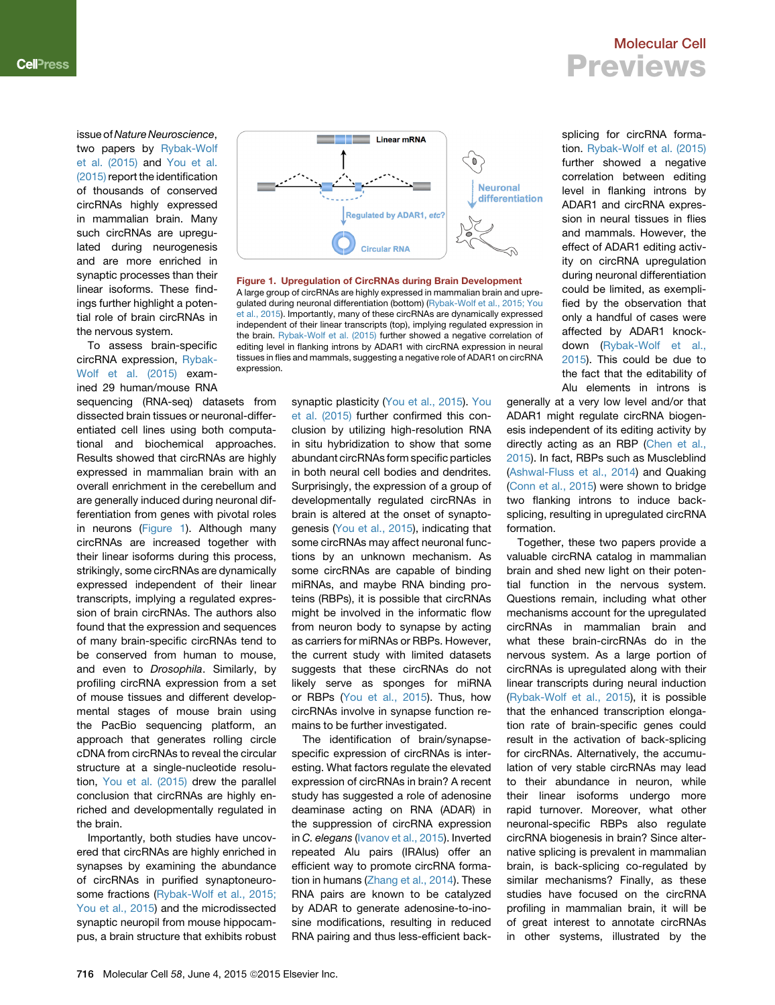issue of *Nature Neuroscience*, two papers by [Rybak-Wolf](#page-2-0) [et al. \(2015\)](#page-2-0) and [You et al.](#page-2-1) [\(2015\)](#page-2-1) report the identification of thousands of conserved circRNAs highly expressed in mammalian brain. Many such circRNAs are upregulated during neurogenesis and are more enriched in synaptic processes than their linear isoforms. These findings further highlight a potential role of brain circRNAs in the nervous system.

To assess brain-specific circRNA expression, [Rybak-](#page-2-0)[Wolf et al. \(2015\)](#page-2-0) examined 29 human/mouse RNA

sequencing (RNA-seq) datasets from dissected brain tissues or neuronal-differentiated cell lines using both computational and biochemical approaches. Results showed that circRNAs are highly expressed in mammalian brain with an overall enrichment in the cerebellum and are generally induced during neuronal differentiation from genes with pivotal roles in neurons ([Figure 1\)](#page-1-0). Although many circRNAs are increased together with their linear isoforms during this process, strikingly, some circRNAs are dynamically expressed independent of their linear transcripts, implying a regulated expression of brain circRNAs. The authors also found that the expression and sequences of many brain-specific circRNAs tend to be conserved from human to mouse, and even to *Drosophila*. Similarly, by profiling circRNA expression from a set of mouse tissues and different developmental stages of mouse brain using the PacBio sequencing platform, an approach that generates rolling circle cDNA from circRNAs to reveal the circular structure at a single-nucleotide resolution, [You et al. \(2015\)](#page-2-1) drew the parallel conclusion that circRNAs are highly enriched and developmentally regulated in the brain.

Importantly, both studies have uncovered that circRNAs are highly enriched in synapses by examining the abundance of circRNAs in purified synaptoneuro-some fractions ([Rybak-Wolf et al., 2015;](#page-2-0) [You et al., 2015](#page-2-0)) and the microdissected synaptic neuropil from mouse hippocampus, a brain structure that exhibits robust

<span id="page-1-0"></span>

Figure 1. Upregulation of CircRNAs during Brain Development A large group of circRNAs are highly expressed in mammalian brain and upregulated during neuronal differentiation (bottom) ([Rybak-Wolf et al., 2015; You](#page-2-0) [et al., 2015](#page-2-0)). Importantly, many of these circRNAs are dynamically expressed independent of their linear transcripts (top), implying regulated expression in the brain. [Rybak-Wolf et al. \(2015\)](#page-2-0) further showed a negative correlation of editing level in flanking introns by ADAR1 with circRNA expression in neural tissues in flies and mammals, suggesting a negative role of ADAR1 on circRNA expression.

synaptic plasticity [\(You et al., 2015](#page-2-1)). [You](#page-2-1) [et al. \(2015\)](#page-2-1) further confirmed this conclusion by utilizing high-resolution RNA in situ hybridization to show that some abundant circRNAs form specific particles in both neural cell bodies and dendrites. Surprisingly, the expression of a group of developmentally regulated circRNAs in brain is altered at the onset of synaptogenesis [\(You et al., 2015](#page-2-1)), indicating that some circRNAs may affect neuronal functions by an unknown mechanism. As some circRNAs are capable of binding miRNAs, and maybe RNA binding proteins (RBPs), it is possible that circRNAs might be involved in the informatic flow from neuron body to synapse by acting as carriers for miRNAs or RBPs. However, the current study with limited datasets suggests that these circRNAs do not likely serve as sponges for miRNA or RBPs [\(You et al., 2015](#page-2-1)). Thus, how circRNAs involve in synapse function remains to be further investigated.

The identification of brain/synapsespecific expression of circRNAs is interesting. What factors regulate the elevated expression of circRNAs in brain? A recent study has suggested a role of adenosine deaminase acting on RNA (ADAR) in the suppression of circRNA expression in *C. elegans* [\(Ivanov et al., 2015](#page-2-7)). Inverted repeated Alu pairs (IRAlus) offer an efficient way to promote circRNA formation in humans ([Zhang et al., 2014](#page-2-3)). These RNA pairs are known to be catalyzed by ADAR to generate adenosine-to-inosine modifications, resulting in reduced RNA pairing and thus less-efficient back-

# Previews

Molecular Cell

splicing for circRNA formation. [Rybak-Wolf et al. \(2015\)](#page-2-0) further showed a negative correlation between editing level in flanking introns by ADAR1 and circRNA expression in neural tissues in flies and mammals. However, the effect of ADAR1 editing activity on circRNA upregulation during neuronal differentiation could be limited, as exemplified by the observation that only a handful of cases were affected by ADAR1 knockdown ([Rybak-Wolf et al.,](#page-2-0) [2015](#page-2-0)). This could be due to the fact that the editability of Alu elements in introns is

generally at a very low level and/or that ADAR1 might regulate circRNA biogenesis independent of its editing activity by directly acting as an RBP [\(Chen et al.,](#page-2-8) [2015](#page-2-8)). In fact, RBPs such as Muscleblind ([Ashwal-Fluss et al., 2014\)](#page-2-4) and Quaking ([Conn et al., 2015](#page-2-9)) were shown to bridge two flanking introns to induce backsplicing, resulting in upregulated circRNA formation.

Together, these two papers provide a valuable circRNA catalog in mammalian brain and shed new light on their potential function in the nervous system. Questions remain, including what other mechanisms account for the upregulated circRNAs in mammalian brain and what these brain-circRNAs do in the nervous system. As a large portion of circRNAs is upregulated along with their linear transcripts during neural induction ([Rybak-Wolf et al., 2015\)](#page-2-0), it is possible that the enhanced transcription elongation rate of brain-specific genes could result in the activation of back-splicing for circRNAs. Alternatively, the accumulation of very stable circRNAs may lead to their abundance in neuron, while their linear isoforms undergo more rapid turnover. Moreover, what other neuronal-specific RBPs also regulate circRNA biogenesis in brain? Since alternative splicing is prevalent in mammalian brain, is back-splicing co-regulated by similar mechanisms? Finally, as these studies have focused on the circRNA profiling in mammalian brain, it will be of great interest to annotate circRNAs in other systems, illustrated by the